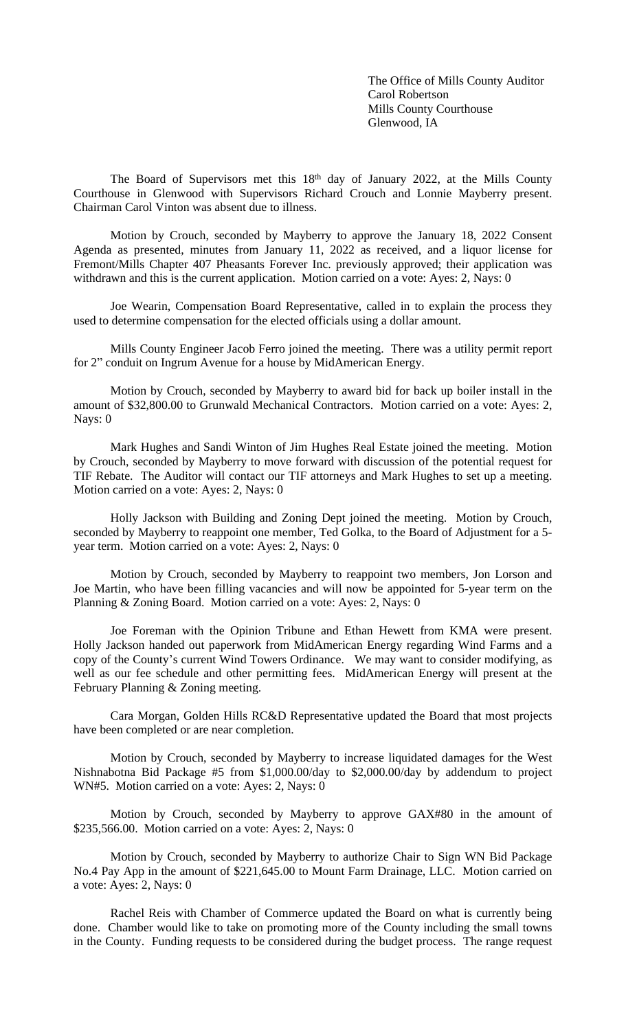The Office of Mills County Auditor Carol Robertson Mills County Courthouse Glenwood, IA

The Board of Supervisors met this 18<sup>th</sup> day of January 2022, at the Mills County Courthouse in Glenwood with Supervisors Richard Crouch and Lonnie Mayberry present. Chairman Carol Vinton was absent due to illness.

Motion by Crouch, seconded by Mayberry to approve the January 18, 2022 Consent Agenda as presented, minutes from January 11, 2022 as received, and a liquor license for Fremont/Mills Chapter 407 Pheasants Forever Inc. previously approved; their application was withdrawn and this is the current application. Motion carried on a vote: Ayes: 2, Nays: 0

Joe Wearin, Compensation Board Representative, called in to explain the process they used to determine compensation for the elected officials using a dollar amount.

Mills County Engineer Jacob Ferro joined the meeting. There was a utility permit report for 2" conduit on Ingrum Avenue for a house by MidAmerican Energy.

Motion by Crouch, seconded by Mayberry to award bid for back up boiler install in the amount of \$32,800.00 to Grunwald Mechanical Contractors. Motion carried on a vote: Ayes: 2, Nays: 0

Mark Hughes and Sandi Winton of Jim Hughes Real Estate joined the meeting. Motion by Crouch, seconded by Mayberry to move forward with discussion of the potential request for TIF Rebate. The Auditor will contact our TIF attorneys and Mark Hughes to set up a meeting. Motion carried on a vote: Ayes: 2, Nays: 0

Holly Jackson with Building and Zoning Dept joined the meeting. Motion by Crouch, seconded by Mayberry to reappoint one member, Ted Golka, to the Board of Adjustment for a 5 year term. Motion carried on a vote: Ayes: 2, Nays: 0

Motion by Crouch, seconded by Mayberry to reappoint two members, Jon Lorson and Joe Martin, who have been filling vacancies and will now be appointed for 5-year term on the Planning & Zoning Board. Motion carried on a vote: Ayes: 2, Nays: 0

Joe Foreman with the Opinion Tribune and Ethan Hewett from KMA were present. Holly Jackson handed out paperwork from MidAmerican Energy regarding Wind Farms and a copy of the County's current Wind Towers Ordinance. We may want to consider modifying, as well as our fee schedule and other permitting fees. MidAmerican Energy will present at the February Planning & Zoning meeting.

Cara Morgan, Golden Hills RC&D Representative updated the Board that most projects have been completed or are near completion.

Motion by Crouch, seconded by Mayberry to increase liquidated damages for the West Nishnabotna Bid Package #5 from \$1,000.00/day to \$2,000.00/day by addendum to project WN#5. Motion carried on a vote: Ayes: 2, Nays: 0

Motion by Crouch, seconded by Mayberry to approve GAX#80 in the amount of \$235,566.00. Motion carried on a vote: Ayes: 2, Nays: 0

Motion by Crouch, seconded by Mayberry to authorize Chair to Sign WN Bid Package No.4 Pay App in the amount of \$221,645.00 to Mount Farm Drainage, LLC. Motion carried on a vote: Ayes: 2, Nays: 0

Rachel Reis with Chamber of Commerce updated the Board on what is currently being done. Chamber would like to take on promoting more of the County including the small towns in the County. Funding requests to be considered during the budget process. The range request